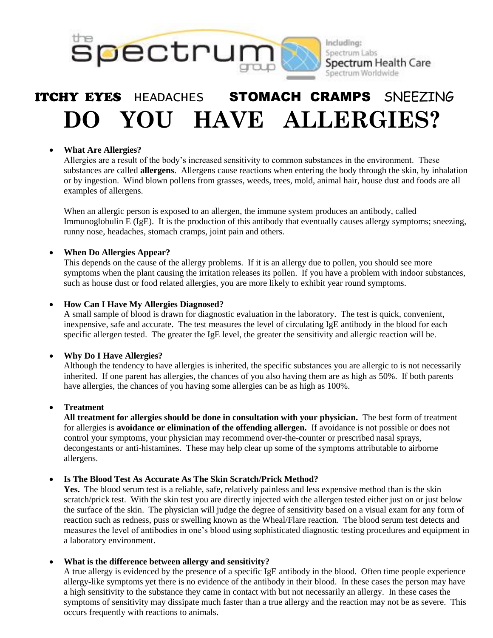

# ITCHY EYES HEADACHES STOMACH CRAMPS SNEEZING **DO YOU HAVE ALLERGIES?**

#### **What Are Allergies?**

Allergies are a result of the body's increased sensitivity to common substances in the environment. These substances are called **allergens**. Allergens cause reactions when entering the body through the skin, by inhalation or by ingestion. Wind blown pollens from grasses, weeds, trees, mold, animal hair, house dust and foods are all examples of allergens.

When an allergic person is exposed to an allergen, the immune system produces an antibody, called Immunoglobulin E (IgE). It is the production of this antibody that eventually causes allergy symptoms; sneezing, runny nose, headaches, stomach cramps, joint pain and others.

#### **When Do Allergies Appear?**

This depends on the cause of the allergy problems. If it is an allergy due to pollen, you should see more symptoms when the plant causing the irritation releases its pollen. If you have a problem with indoor substances, such as house dust or food related allergies, you are more likely to exhibit year round symptoms.

#### **How Can I Have My Allergies Diagnosed?**

A small sample of blood is drawn for diagnostic evaluation in the laboratory. The test is quick, convenient, inexpensive, safe and accurate. The test measures the level of circulating IgE antibody in the blood for each specific allergen tested. The greater the IgE level, the greater the sensitivity and allergic reaction will be.

#### **Why Do I Have Allergies?**

Although the tendency to have allergies is inherited, the specific substances you are allergic to is not necessarily inherited. If one parent has allergies, the chances of you also having them are as high as 50%. If both parents have allergies, the chances of you having some allergies can be as high as 100%.

#### **Treatment**

**All treatment for allergies should be done in consultation with your physician.** The best form of treatment for allergies is **avoidance or elimination of the offending allergen.** If avoidance is not possible or does not control your symptoms, your physician may recommend over-the-counter or prescribed nasal sprays, decongestants or anti-histamines. These may help clear up some of the symptoms attributable to airborne allergens.

#### **Is The Blood Test As Accurate As The Skin Scratch/Prick Method?**

**Yes.** The blood serum test is a reliable, safe, relatively painless and less expensive method than is the skin scratch/prick test. With the skin test you are directly injected with the allergen tested either just on or just below the surface of the skin. The physician will judge the degree of sensitivity based on a visual exam for any form of reaction such as redness, puss or swelling known as the Wheal/Flare reaction. The blood serum test detects and measures the level of antibodies in one's blood using sophisticated diagnostic testing procedures and equipment in a laboratory environment.

#### **What is the difference between allergy and sensitivity?**

A true allergy is evidenced by the presence of a specific IgE antibody in the blood. Often time people experience allergy-like symptoms yet there is no evidence of the antibody in their blood. In these cases the person may have a high sensitivity to the substance they came in contact with but not necessarily an allergy. In these cases the symptoms of sensitivity may dissipate much faster than a true allergy and the reaction may not be as severe. This occurs frequently with reactions to animals.